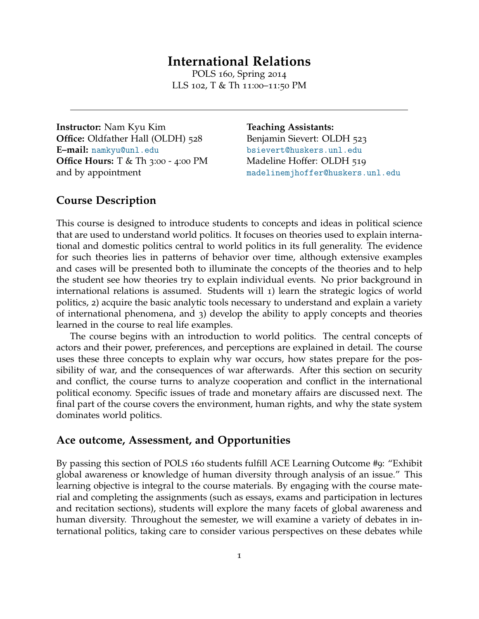# **International Relations**

POLS 160, Spring 2014 LLS 102, T & Th 11:00–11:50 PM

**Instructor:** Nam Kyu Kim **Office:** Oldfather Hall (OLDH) 528 **E–mail:** [namkyu@unl.edu](mailto:namkyu@unl.edu) **Office Hours:** T & Th 3:00 - 4:00 PM and by appointment

**Teaching Assistants:** Benjamin Sievert: OLDH 523 <bsievert@huskers.unl.edu> Madeline Hoffer: OLDH 519 <madelinemjhoffer@huskers.unl.edu>

# **Course Description**

This course is designed to introduce students to concepts and ideas in political science that are used to understand world politics. It focuses on theories used to explain international and domestic politics central to world politics in its full generality. The evidence for such theories lies in patterns of behavior over time, although extensive examples and cases will be presented both to illuminate the concepts of the theories and to help the student see how theories try to explain individual events. No prior background in international relations is assumed. Students will 1) learn the strategic logics of world politics, 2) acquire the basic analytic tools necessary to understand and explain a variety of international phenomena, and 3) develop the ability to apply concepts and theories learned in the course to real life examples.

The course begins with an introduction to world politics. The central concepts of actors and their power, preferences, and perceptions are explained in detail. The course uses these three concepts to explain why war occurs, how states prepare for the possibility of war, and the consequences of war afterwards. After this section on security and conflict, the course turns to analyze cooperation and conflict in the international political economy. Specific issues of trade and monetary affairs are discussed next. The final part of the course covers the environment, human rights, and why the state system dominates world politics.

#### **Ace outcome, Assessment, and Opportunities**

By passing this section of POLS 160 students fulfill ACE Learning Outcome #9: "Exhibit global awareness or knowledge of human diversity through analysis of an issue." This learning objective is integral to the course materials. By engaging with the course material and completing the assignments (such as essays, exams and participation in lectures and recitation sections), students will explore the many facets of global awareness and human diversity. Throughout the semester, we will examine a variety of debates in international politics, taking care to consider various perspectives on these debates while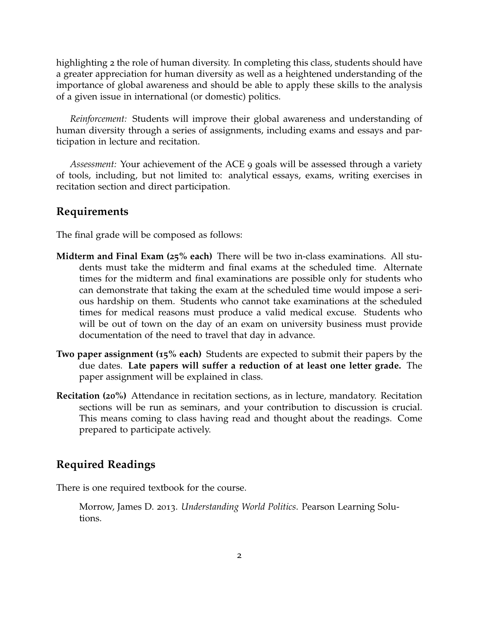highlighting 2 the role of human diversity. In completing this class, students should have a greater appreciation for human diversity as well as a heightened understanding of the importance of global awareness and should be able to apply these skills to the analysis of a given issue in international (or domestic) politics.

*Reinforcement:* Students will improve their global awareness and understanding of human diversity through a series of assignments, including exams and essays and participation in lecture and recitation.

*Assessment:* Your achievement of the ACE 9 goals will be assessed through a variety of tools, including, but not limited to: analytical essays, exams, writing exercises in recitation section and direct participation.

# **Requirements**

The final grade will be composed as follows:

- **Midterm and Final Exam (25% each)** There will be two in-class examinations. All students must take the midterm and final exams at the scheduled time. Alternate times for the midterm and final examinations are possible only for students who can demonstrate that taking the exam at the scheduled time would impose a serious hardship on them. Students who cannot take examinations at the scheduled times for medical reasons must produce a valid medical excuse. Students who will be out of town on the day of an exam on university business must provide documentation of the need to travel that day in advance.
- **Two paper assignment (15% each)** Students are expected to submit their papers by the due dates. **Late papers will suffer a reduction of at least one letter grade.** The paper assignment will be explained in class.
- **Recitation (20%)** Attendance in recitation sections, as in lecture, mandatory. Recitation sections will be run as seminars, and your contribution to discussion is crucial. This means coming to class having read and thought about the readings. Come prepared to participate actively.

### **Required Readings**

There is one required textbook for the course.

Morrow, James D. 2013. *Understanding World Politics*. Pearson Learning Solutions.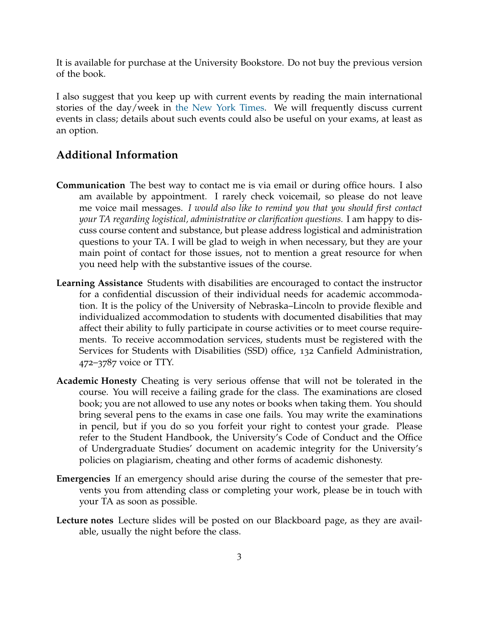It is available for purchase at the University Bookstore. Do not buy the previous version of the book.

I also suggest that you keep up with current events by reading the main international stories of the day/week in [the New York Times.](http://www.nytimes.com) We will frequently discuss current events in class; details about such events could also be useful on your exams, at least as an option.

# **Additional Information**

- **Communication** The best way to contact me is via email or during office hours. I also am available by appointment. I rarely check voicemail, so please do not leave me voice mail messages. *I would also like to remind you that you should first contact your TA regarding logistical, administrative or clarification questions.* I am happy to discuss course content and substance, but please address logistical and administration questions to your TA. I will be glad to weigh in when necessary, but they are your main point of contact for those issues, not to mention a great resource for when you need help with the substantive issues of the course.
- **Learning Assistance** Students with disabilities are encouraged to contact the instructor for a confidential discussion of their individual needs for academic accommodation. It is the policy of the University of Nebraska–Lincoln to provide flexible and individualized accommodation to students with documented disabilities that may affect their ability to fully participate in course activities or to meet course requirements. To receive accommodation services, students must be registered with the Services for Students with Disabilities (SSD) office, 132 Canfield Administration, 472–3787 voice or TTY.
- **Academic Honesty** Cheating is very serious offense that will not be tolerated in the course. You will receive a failing grade for the class. The examinations are closed book; you are not allowed to use any notes or books when taking them. You should bring several pens to the exams in case one fails. You may write the examinations in pencil, but if you do so you forfeit your right to contest your grade. Please refer to the Student Handbook, the University's Code of Conduct and the Office of Undergraduate Studies' document on academic integrity for the University's policies on plagiarism, cheating and other forms of academic dishonesty.
- **Emergencies** If an emergency should arise during the course of the semester that prevents you from attending class or completing your work, please be in touch with your TA as soon as possible.
- **Lecture notes** Lecture slides will be posted on our Blackboard page, as they are available, usually the night before the class.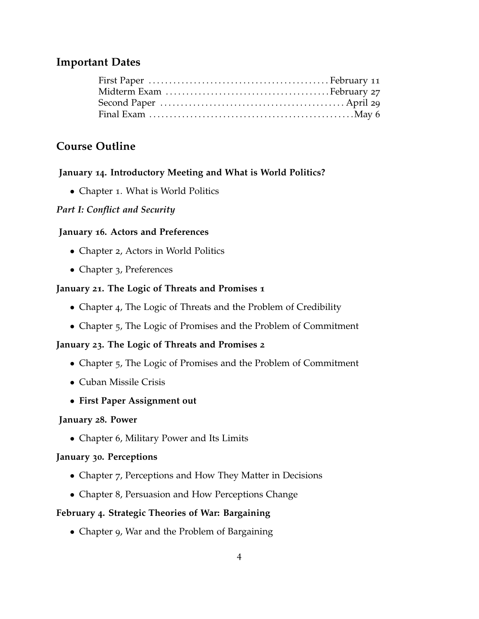# **Important Dates**

# **Course Outline**

# **January 14. Introductory Meeting and What is World Politics?**

• Chapter 1. What is World Politics

# *Part I: Conflict and Security*

# **January 16. Actors and Preferences**

- Chapter 2, Actors in World Politics
- Chapter 3, Preferences

# **January 21. The Logic of Threats and Promises 1**

- Chapter 4, The Logic of Threats and the Problem of Credibility
- Chapter 5, The Logic of Promises and the Problem of Commitment

# **January 23. The Logic of Threats and Promises 2**

- Chapter 5, The Logic of Promises and the Problem of Commitment
- Cuban Missile Crisis
- **First Paper Assignment out**

# **January 28. Power**

• Chapter 6, Military Power and Its Limits

# **January 30. Perceptions**

- Chapter 7, Perceptions and How They Matter in Decisions
- Chapter 8, Persuasion and How Perceptions Change

# **February 4. Strategic Theories of War: Bargaining**

• Chapter 9, War and the Problem of Bargaining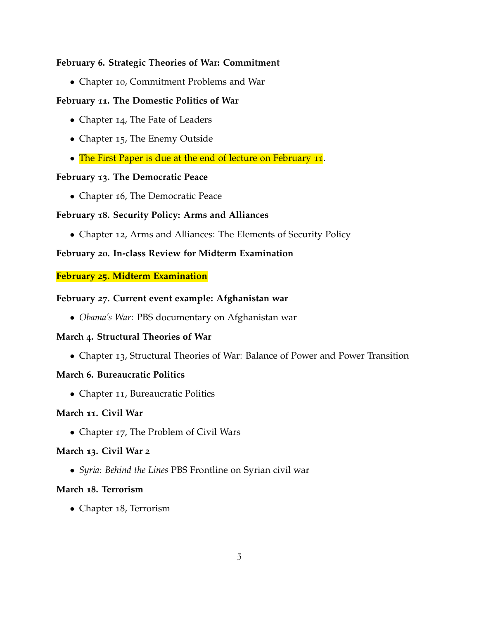# **February 6. Strategic Theories of War: Commitment**

• Chapter 10, Commitment Problems and War

# **February 11. The Domestic Politics of War**

- Chapter 14, The Fate of Leaders
- Chapter 15, The Enemy Outside
- The First Paper is due at the end of lecture on February 11.

#### **February 13. The Democratic Peace**

• Chapter 16, The Democratic Peace

#### **February 18. Security Policy: Arms and Alliances**

• Chapter 12, Arms and Alliances: The Elements of Security Policy

# **February 20. In-class Review for Midterm Examination**

#### **February 25. Midterm Examination**

#### **February 27. Current event example: Afghanistan war**

• *Obama's War*: PBS documentary on Afghanistan war

#### **March 4. Structural Theories of War**

• Chapter 13, Structural Theories of War: Balance of Power and Power Transition

#### **March 6. Bureaucratic Politics**

• Chapter 11, Bureaucratic Politics

#### **March 11. Civil War**

• Chapter 17, The Problem of Civil Wars

#### **March 13. Civil War 2**

• *Syria: Behind the Lines* PBS Frontline on Syrian civil war

#### **March 18. Terrorism**

• Chapter 18, Terrorism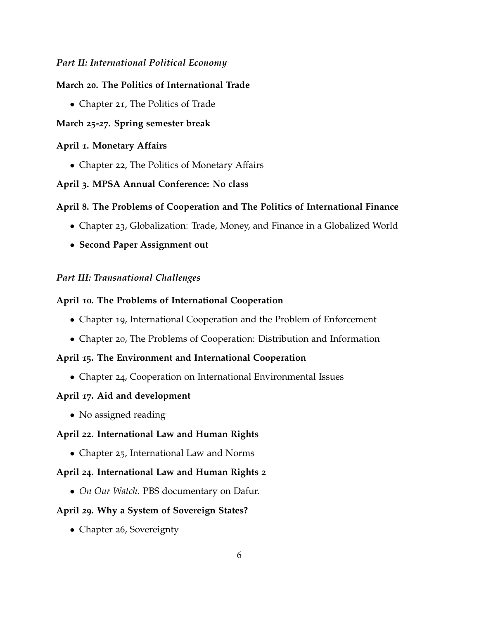# *Part II: International Political Economy*

### **March 20. The Politics of International Trade**

• Chapter 21, The Politics of Trade

# **March 25-27. Spring semester break**

# **April 1. Monetary Affairs**

• Chapter 22, The Politics of Monetary Affairs

# **April 3. MPSA Annual Conference: No class**

# **April 8. The Problems of Cooperation and The Politics of International Finance**

- Chapter 23, Globalization: Trade, Money, and Finance in a Globalized World
- **Second Paper Assignment out**

# *Part III: Transnational Challenges*

# **April 10. The Problems of International Cooperation**

- Chapter 19, International Cooperation and the Problem of Enforcement
- Chapter 20, The Problems of Cooperation: Distribution and Information

#### **April 15. The Environment and International Cooperation**

• Chapter 24, Cooperation on International Environmental Issues

#### **April 17. Aid and development**

• No assigned reading

# **April 22. International Law and Human Rights**

• Chapter 25, International Law and Norms

#### **April 24. International Law and Human Rights 2**

• *On Our Watch.* PBS documentary on Dafur.

#### **April 29. Why a System of Sovereign States?**

• Chapter 26, Sovereignty